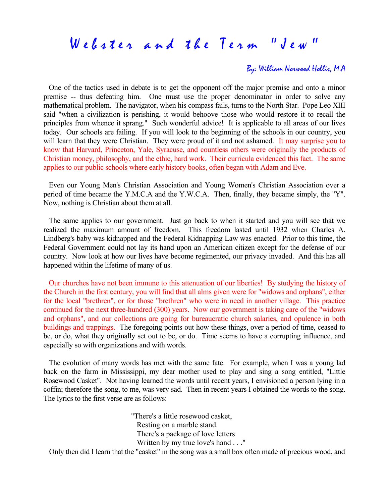## By: William Norwood Hollis, M.A

 One of the tactics used in debate is to get the opponent off the major premise and onto a minor premise -- thus defeating him. One must use the proper denominator in order to solve any mathematical problem. The navigator, when his compass fails, turns to the North Star. Pope Leo XIII said "when a civilization is perishing, it would behoove those who would restore it to recall the principles from whence it sprang." Such wonderful advice! It is applicable to all areas of our lives today. Our schools are failing. If you will look to the beginning of the schools in our country, you will learn that they were Christian. They were proud of it and not ashamed. It may surprise you to know that Harvard, Princeton, Yale, Syracuse, and countless others were originally the products of Christian money, philosophy, and the ethic, hard work. Their curricula evidenced this fact. The same applies to our public schools where early history books, often began with Adam and Eve.

 Even our Young Men's Christian Association and Young Women's Christian Association over a period of time became the Y.M.C.A and the Y.W.C.A. Then, finally, they became simply, the "Y". Now, nothing is Christian about them at all.

 The same applies to our government. Just go back to when it started and you will see that we realized the maximum amount of freedom. This freedom lasted until 1932 when Charles A. Lindberg's baby was kidnapped and the Federal Kidnapping Law was enacted. Prior to this time, the Federal Government could not lay its hand upon an American citizen except for the defense of our country. Now look at how our lives have become regimented, our privacy invaded. And this has all happened within the lifetime of many of us.

 Our churches have not been immune to this attenuation of our liberties! By studying the history of the Church in the first century, you will find that all alms given were for "widows and orphans", either for the local "brethren", or for those "brethren" who were in need in another village. This practice continued for the next three-hundred (300) years. Now our government is taking care of the "widows and orphans", and our collections are going for bureaucratic church salaries, and opulence in both buildings and trappings. The foregoing points out how these things, over a period of time, ceased to be, or do, what they originally set out to be, or do. Time seems to have a corrupting influence, and especially so with organizations and with words.

 The evolution of many words has met with the same fate. For example, when I was a young lad back on the farm in Mississippi, my dear mother used to play and sing a song entitled, "Little Rosewood Casket". Not having learned the words until recent years, I envisioned a person lying in a coffin; therefore the song, to me, was very sad. Then in recent years I obtained the words to the song. The lyrics to the first verse are as follows:

> "There's a little rosewood casket, Resting on a marble stand. There's a package of love letters Written by my true love's hand . . ."

Only then did I learn that the "casket" in the song was a small box often made of precious wood, and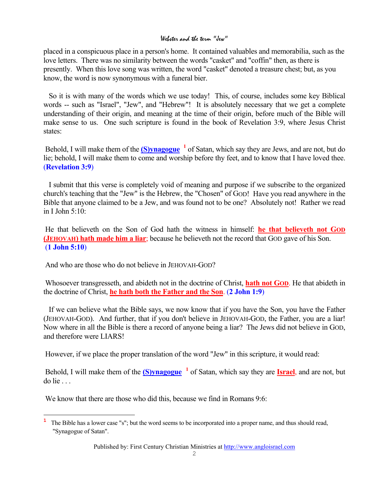placed in a conspicuous place in a person's home. It contained valuables and memorabilia, such as the love letters. There was no similarity between the words "casket" and "coffin" then, as there is presently. When this love song was written, the word "casket" denoted a treasure chest; but, as you know, the word is now synonymous with a funeral bier.

So it is with many of the words which we use today! This, of course, includes some key Biblical words -- such as "Israel", "Jew", and "Hebrew"! It is absolutely necessary that we get a complete understanding of their origin, and meaning at the time of their origin, before much of the Bible will make sense to us. One such scripture is found in the book of Revelation 3:9, where Jesus Christ states:

Behold, I will make them of the **(S)ynagogue** <sup>[1](#page-1-0)</sup> of Satan, which say they are Jews, and are not, but do lie; behold, I will make them to come and worship before thy feet, and to know that I have loved thee. (**Revelation 3:9**)

I submit that this verse is completely void of meaning and purpose if we subscribe to the organized church's teaching that the "Jew" is the Hebrew, the "Chosen" of GOD! Have you read anywhere in the Bible that anyone claimed to be a Jew, and was found not to be one? Absolutely not! Rather we read in I John  $5:10$ 

He that believeth on the Son of God hath the witness in himself: **he that believeth not GOD (JEHOVAH) hath made him a liar**; because he believeth not the record that GOD gave of his Son. (**1 John 5:10**)

And who are those who do not believe in JEHOVAH-GOD?

Whosoever transgresseth, and abideth not in the doctrine of Christ, **hath not GOD**. He that abideth in the doctrine of Christ, **he hath both the Father and the Son**. (**2 John 1:9**)

If we can believe what the Bible says, we now know that if you have the Son, you have the Father (JEHOVAH-GOD). And further, that if you don't believe in JEHOVAH-GOD, the Father, you are a liar! Now where in all the Bible is there a record of anyone being a liar? The Jews did not believe in GOD, and therefore were LIARS!

However, if we place the proper translation of the word "Jew" in this scripture, it would read:

Behold, I will make them of the **(S)ynagogue [1](#page-3-0)** of Satan, which say they are **Israel**, and are not, but do lie . . .

We know that there are those who did this, because we find in Romans 9:6:

i

<span id="page-1-0"></span><sup>&</sup>lt;sup>1</sup> The Bible has a lower case "s"; but the word seems to be incorporated into a proper name, and thus should read, "Synagogue of Satan".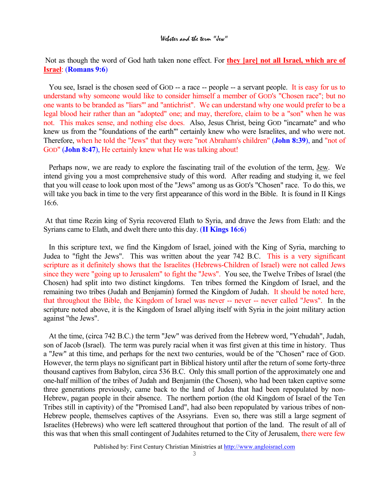Not as though the word of God hath taken none effect. For **they [are] not all Israel, which are of Israel**: (**Romans 9:6**)

You see, Israel is the chosen seed of GOD -- a race -- people -- a servant people. It is easy for us to understand why someone would like to consider himself a member of GOD's "Chosen race"; but no one wants to be branded as "liars"' and "antichrist". We can understand why one would prefer to be a legal blood heir rather than an "adopted" one; and may, therefore, claim to be a "son" when he was not. This makes sense, and nothing else does. Also, Jesus Christ, being GOD "incarnate" and who knew us from the "foundations of the earth"' certainly knew who were Israelites, and who were not. Therefore, when he told the "Jews" that they were "not Abraham's children" (**John 8:39**), and "not of GOD" (**John 8:47**), He certainly knew what He was talking about!

Perhaps now, we are ready to explore the fascinating trail of the evolution of the term, Jew. We intend giving you a most comprehensive study of this word. After reading and studying it, we feel that you will cease to look upon most of the "Jews" among us as GOD's "Chosen" race. To do this, we will take you back in time to the very first appearance of this word in the Bible. It is found in II Kings 16:6.

At that time Rezin king of Syria recovered Elath to Syria, and drave the Jews from Elath: and the Syrians came to Elath, and dwelt there unto this day. (**II Kings 16:6**)

In this scripture text, we find the Kingdom of Israel, joined with the King of Syria, marching to Judea to "fight the Jews". This was written about the year 742 B.C. This is a very significant scripture as it definitely shows that the Israelites (Hebrews-Children of Israel) were not called Jews since they were "going up to Jerusalem" to fight the "Jews". You see, the Twelve Tribes of Israel (the Chosen) had split into two distinct kingdoms. Ten tribes formed the Kingdom of Israel, and the remaining two tribes (Judah and Benjamin) formed the Kingdom of Judah. It should be noted here, that throughout the Bible, the Kingdom of Israel was never -- never -- never called "Jews". In the scripture noted above, it is the Kingdom of Israel allying itself with Syria in the joint military action against "the Jews".

At the time, (circa 742 B.C.) the term "Jew" was derived from the Hebrew word, "Yehudah", Judah, son of Jacob (Israel). The term was purely racial when it was first given at this time in history. Thus a "Jew" at this time, and perhaps for the next two centuries, would be of the "Chosen" race of GOD. However, the term plays no significant part in Biblical history until after the return of some forty-three thousand captives from Babylon, circa 536 B.C. Only this small portion of the approximately one and one-half million of the tribes of Judah and Benjamin (the Chosen), who had been taken captive some three generations previously, came back to the land of Judea that had been repopulated by non-Hebrew, pagan people in their absence. The northern portion (the old Kingdom of Israel of the Ten Tribes still in captivity) of the "Promised Land", had also been repopulated by various tribes of non-Hebrew people, themselves captives of the Assyrians. Even so, there was still a large segment of Israelites (Hebrews) who were left scattered throughout that portion of the land. The result of all of this was that when this small contingent of Judahites returned to the City of Jerusalem, there were few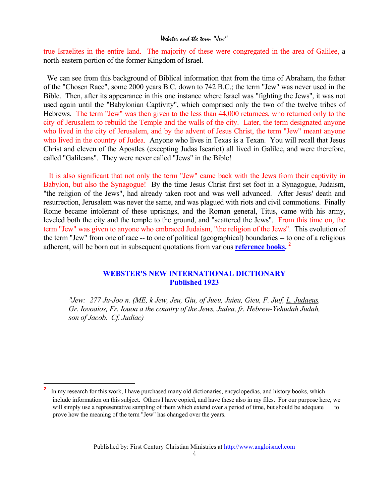true Israelites in the entire land. The majority of these were congregated in the area of Galilee, a north-eastern portion of the former Kingdom of Israel.

We can see from this background of Biblical information that from the time of Abraham, the father of the "Chosen Race", some 2000 years B.C. down to 742 B.C.; the term "Jew" was never used in the Bible. Then, after its appearance in this one instance where Israel was "fighting the Jews", it was not used again until the "Babylonian Captivity", which comprised only the two of the twelve tribes of Hebrews. The term "Jew" was then given to the less than 44,000 returnees, who returned only to the city of Jerusalem to rebuild the Temple and the walls of the city. Later, the term designated anyone who lived in the city of Jerusalem, and by the advent of Jesus Christ, the term "Jew" meant anyone who lived in the country of Judea. Anyone who lives in Texas is a Texan. You will recall that Jesus Christ and eleven of the Apostles (excepting Judas Iscariot) all lived in Galilee, and were therefore, called "Galileans". They were never called "Jews" in the Bible!

It is also significant that not only the term "Jew" came back with the Jews from their captivity in Babylon, but also the Synagogue! By the time Jesus Christ first set foot in a Synagogue, Judaism, "the religion of the Jews", had already taken root and was well advanced. After Jesus' death and resurrection, Jerusalem was never the same, and was plagued with riots and civil commotions. Finally Rome became intolerant of these uprisings, and the Roman general, Titus, came with his army, leveled both the city and the temple to the ground, and "scattered the Jews". From this time on, the term "Jew" was given to anyone who embraced Judaism, "the religion of the Jews". This evolution of the term "Jew" from one of race -- to one of political (geographical) boundaries -- to one of a religious adherent, will be born out in subsequent quotations from various **reference books. [2](#page-3-1)**

### **WEBSTER'S NEW INTERNATIONAL DICTIONARY Published 1923**

*"Jew: 277 Ju-Joo n. (ME, k Jew, Jeu, Giu, of Jueu, Juieu, Gieu, F. Juif, L. Judaeus, Gr. Iovoaios, Fr. Iouoa a the country of the Jews, Judea, fr. Hebrew-Yehudah Judah, son of Jacob. Cf. Judiac)*

<span id="page-3-1"></span><span id="page-3-0"></span><sup>&</sup>lt;sup>2</sup> In my research for this work, I have purchased many old dictionaries, encyclopedias, and history books, which include information on this subject. Others I have copied, and have these also in my files. For our purpose here, we will simply use a representative sampling of them which extend over a period of time, but should be adequate to prove how the meaning of the term "Jew" has changed over the years.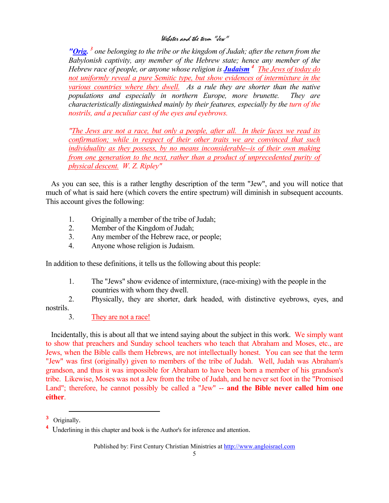*"Orig. [3](#page-4-0) one belonging to the tribe or the kingdom of Judah; after the return from the Babylonish captivity, any member of the Hebrew state; hence any member of the Hebrew race of people, or anyone whose religion is Judaism [4](#page-4-1) The Jews of today do not uniformly reveal a pure Semitic type, but show evidences of intermixture in the various countries where they dwell. As a rule they are shorter than the native populations and especially in northern Europe, more brunette. They are characteristically distinguished mainly by their features, especially by the turn of the nostrils, and a peculiar cast of the eyes and eyebrows.* 

*"The Jews are not a race, but only a people, after all. In their faces we read its confirmation; while in respect of their other traits we are convinced that such individuality as they possess, by no means inconsiderable--is of their own making from one generation to the next, rather than a product of unprecedented purity of physical descent. W. Z. Ripley"*

As you can see, this is a rather lengthy description of the term "Jew", and you will notice that much of what is said here (which covers the entire spectrum) will diminish in subsequent accounts. This account gives the following:

- 1. Originally a member of the tribe of Judah;
- 2. Member of the Kingdom of Judah;
- 3. Any member of the Hebrew race, or people;
- 4. Anyone whose religion is Judaism.

In addition to these definitions, it tells us the following about this people:

1. The "Jews" show evidence of intermixture, (race-mixing) with the people in the countries with whom they dwell.

2. Physically, they are shorter, dark headed, with distinctive eyebrows, eyes, and nostrils.

3. They are not a race!

Incidentally, this is about all that we intend saying about the subject in this work. We simply want to show that preachers and Sunday school teachers who teach that Abraham and Moses, etc., are Jews, when the Bible calls them Hebrews, are not intellectually honest. You can see that the term "Jew" was first (originally) given to members of the tribe of Judah. Well, Judah was Abraham's grandson, and thus it was impossible for Abraham to have been born a member of his grandson's tribe. Likewise, Moses was not a Jew from the tribe of Judah, and he never set foot in the "Promised Land"; therefore, he cannot possibly be called a "Jew" -- **and the Bible never called him one either**.

 $\overline{\phantom{0}}$ 

<span id="page-4-0"></span>**<sup>3</sup>** Originally.

<span id="page-4-1"></span><sup>&</sup>lt;sup>4</sup> Underlining in this chapter and book is the Author's for inference and attention.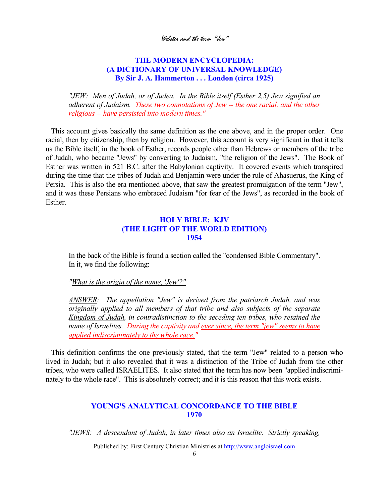## **THE MODERN ENCYCLOPEDIA: (A DICTIONARY OF UNIVERSAL KNOWLEDGE) By Sir J. A. Hammerton . . . London (circa 1925)**

*"JEW: Men of Judah, or of Judea. In the Bible itself (Esther 2,5) Jew signified an adherent of Judaism. These two connotations of Jew -- the one racial, and the other religious -- have persisted into modern times."*

This account gives basically the same definition as the one above, and in the proper order. One racial, then by citizenship, then by religion. However, this account is very significant in that it tells us the Bible itself, in the book of Esther, records people other than Hebrews or members of the tribe of Judah, who became "Jews" by converting to Judaism, "the religion of the Jews". The Book of Esther was written in 521 B.C. after the Babylonian captivity. It covered events which transpired during the time that the tribes of Judah and Benjamin were under the rule of Ahasuerus, the King of Persia. This is also the era mentioned above, that saw the greatest promulgation of the term "Jew", and it was these Persians who embraced Judaism "for fear of the Jews", as recorded in the book of Esther.

## **HOLY BIBLE: KJV (THE LIGHT OF THE WORLD EDITION) 1954**

In the back of the Bible is found a section called the "condensed Bible Commentary". In it, we find the following:

#### *"What is the origin of the name, 'Jew'?"*

*ANSWER: The appellation "Jew" is derived from the patriarch Judah, and was originally applied to all members of that tribe and also subjects of the separate Kingdom of Judah, in contradistinction to the seceding ten tribes, who retained the name of Israelites. During the captivity and ever since, the term "jew" seems to have applied indiscriminately to the whole race."*

This definition confirms the one previously stated, that the term "Jew" related to a person who lived in Judah; but it also revealed that it was a distinction of the Tribe of Judah from the other tribes, who were called ISRAELITES. It also stated that the term has now been "applied indiscriminately to the whole race". This is absolutely correct; and it is this reason that this work exists.

## **YOUNG'S ANALYTICAL CONCORDANCE TO THE BIBLE 1970**

*"JEWS: A descendant of Judah, in later times also an Israelite. Strictly speaking,*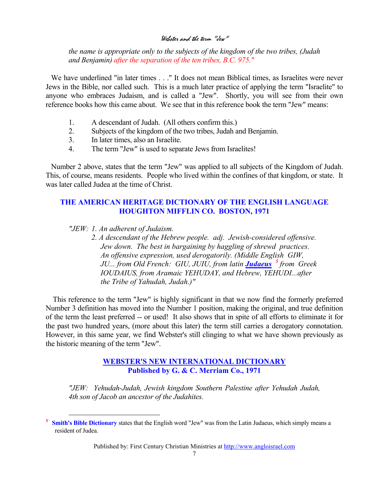*the name is appropriate only to the subjects of the kingdom of the two tribes, (Judah and Benjamin) after the separation of the ten tribes, B.C. 975."*

We have underlined "in later times . . ." It does not mean Biblical times, as Israelites were never Jews in the Bible, nor called such. This is a much later practice of applying the term "Israelite" to anyone who embraces Judaism, and is called a "Jew". Shortly, you will see from their own reference books how this came about. We see that in this reference book the term "Jew" means:

- 1. A descendant of Judah. (All others confirm this.)
- 2. Subjects of the kingdom of the two tribes, Judah and Benjamin.
- 3. In later times, also an Israelite.
- 4. The term "Jew" is used to separate Jews from Israelites!

Number 2 above, states that the term "Jew" was applied to all subjects of the Kingdom of Judah. This, of course, means residents. People who lived within the confines of that kingdom, or state. It was later called Judea at the time of Christ.

## **THE AMERICAN HERITAGE DICTIONARY OF THE ENGLISH LANGUAGE HOUGHTON MIFFLIN CO. BOSTON, 1971**

*"JEW: 1. An adherent of Judaism.* 

i<br>Li

*2. A descendant of the Hebrew people. adj. Jewish-considered offensive. Jew down. The best in bargaining by haggling of shrewd practices. An offensive expression, used derogatorily. (Middle English GIW, JU... from Old French: GIU, JUIU, from latin Judaeus [5](#page-6-0) from Greek IOUDAIUS, from Aramaic YEHUDAY, and Hebrew, YEHUDI...after the Tribe of Yahudah, Judah.)"* 

This reference to the term "Jew" is highly significant in that we now find the formerly preferred Number 3 definition has moved into the Number 1 position, making the original, and true definition of the term the least preferred -- or used! It also shows that in spite of all efforts to eliminate it for the past two hundred years, (more about this later) the term still carries a derogatory connotation. However, in this same year, we find Webster's still clinging to what we have shown previously as the historic meaning of the term "Jew".

> **WEBSTER'S NEW INTERNATIONAL DICTIONARY Published by G. & C. Merriam Co., 1971**

*"JEW: Yehudah-Judah, Jewish kingdom Southern Palestine after Yehudah Judah, 4th son of Jacob an ancestor of the Judahites.* 

<span id="page-6-0"></span><sup>&</sup>lt;sup>5</sup> **Smith's Bible Dictionary** states that the English word "Jew" was from the Latin Judaeus, which simply means a resident of Judea.

Published by: First Century Christian Ministries at http://www.angloisrael.com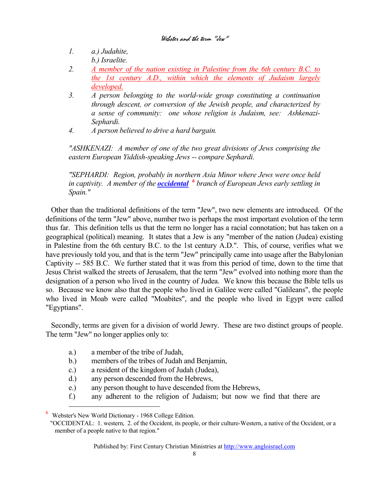- *1. a.) Judahite, b.) Israelite.*
- *2. A member of the nation existing in Palestine from the 6th century B.C. to the 1st century A.D., within which the elements of Judaism largely developed.*
- *3. A person belonging to the world-wide group constituting a continuation through descent, or conversion of the Jewish people, and characterized by a sense of community: one whose religion is Judaism, see: Ashkenazi- Sephardi.*
- *4. A person believed to drive a hard bargain.*

*"ASHKENAZI: A member of one of the two great divisions of Jews comprising the eastern European Yiddish-speaking Jews -- compare Sephardi.* 

*"SEPHARDI: Region, probably in northern Asia Minor where Jews were once held in captivity. A member of the occidental [6](#page-7-0) branch of European Jews early settling in Spain."*

Other than the traditional definitions of the term "Jew", two new elements are introduced. Of the definitions of the term "Jew" above, number two is perhaps the most important evolution of the term thus far. This definition tells us that the term no longer has a racial connotation; but has taken on a geographical (political) meaning. It states that a Jew is any "member of the nation (Judea) existing in Palestine from the 6th century B.C. to the 1st century A.D.". This, of course, verifies what we have previously told you, and that is the term "Jew" principally came into usage after the Babylonian Captivity -- 585 B.C. We further stated that it was from this period of time, down to the time that Jesus Christ walked the streets of Jerusalem, that the term "Jew" evolved into nothing more than the designation of a person who lived in the country of Judea. We know this because the Bible tells us so. Because we know also that the people who lived in Galilee were called "Galileans", the people who lived in Moab were called "Moabites", and the people who lived in Egypt were called "Egyptians".

Secondly, terms are given for a division of world Jewry. These are two distinct groups of people. The term "Jew" no longer applies only to:

- a.) a member of the tribe of Judah,
- b.) members of the tribes of Judah and Benjamin,
- c.) a resident of the kingdom of Judah (Judea),
- d.) any person descended from the Hebrews,
- e.) any person thought to have descended from the Hebrews,
- f.) any adherent to the religion of Judaism; but now we find that there are

i<br>Li

<span id="page-7-0"></span><sup>6</sup> Webster's New World Dictionary - 1968 College Edition.

 <sup>&</sup>quot;OCCIDENTAL: 1. western, 2. of the Occident, its people, or their culture-Western, a native of the Occident, or a member of a people native to that region."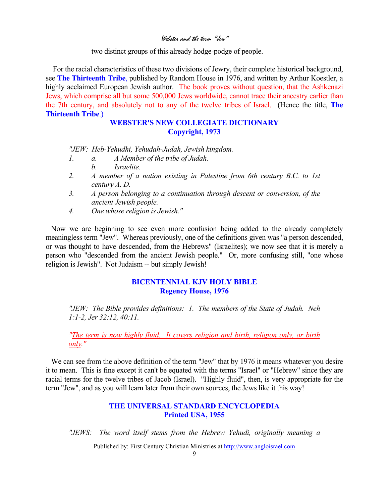two distinct groups of this already hodge-podge of people.

 For the racial characteristics of these two divisions of Jewry, their complete historical background, see **The Thirteenth Tribe**, published by Random House in 1976, and written by Arthur Koestler, a highly acclaimed European Jewish author. The book proves without question, that the Ashkenazi Jews, which comprise all but some 500,000 Jews worldwide, cannot trace their ancestry earlier than the 7th century, and absolutely not to any of the twelve tribes of Israel. (Hence the title, **The Thirteenth Tribe**.)

## **WEBSTER'S NEW COLLEGIATE DICTIONARY Copyright, 1973**

*"JEW: Heb-Yehudhi, Yehudah-Judah, Jewish kingdom.* 

- *1. a. A Member of the tribe of Judah.* 
	- *b. Israelite.*
- *2. A member of a nation existing in Palestine from 6th century B.C. to 1st century A. D.*
- *3. A person belonging to a continuation through descent or conversion, of the ancient Jewish people.*
- *4. One whose religion is Jewish."*

Now we are beginning to see even more confusion being added to the already completely meaningless term "Jew". Whereas previously, one of the definitions given was "a person descended, or was thought to have descended, from the Hebrews" (Israelites); we now see that it is merely a person who "descended from the ancient Jewish people." Or, more confusing still, "one whose religion is Jewish". Not Judaism -- but simply Jewish!

## **BICENTENNIAL KJV HOLY BIBLE Regency House, 1976**

*"JEW: The Bible provides definitions: 1. The members of the State of Judah. Neh 1:1-2, Jer 32:12, 40:11.* 

*"The term is now highly fluid. It covers religion and birth, religion only, or birth only."*

We can see from the above definition of the term "Jew" that by 1976 it means whatever you desire it to mean. This is fine except it can't be equated with the terms "Israel" or "Hebrew" since they are racial terms for the twelve tribes of Jacob (Israel). "Highly fluid", then, is very appropriate for the term "Jew", and as you will learn later from their own sources, the Jews like it this way!

## **THE UNIVERSAL STANDARD ENCYCLOPEDIA Printed USA, 1955**

*"JEWS: The word itself stems from the Hebrew Yehudi, originally meaning a*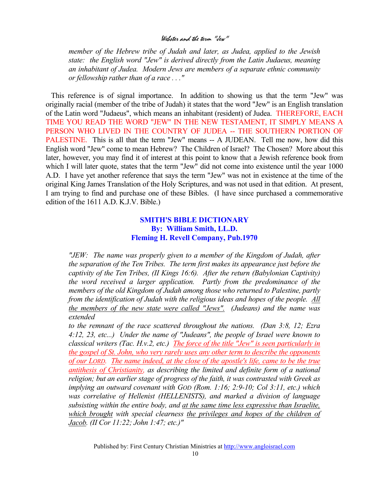*member of the Hebrew tribe of Judah and later, as Judea, applied to the Jewish state: the English word "Jew" is derived directly from the Latin Judaeus, meaning an inhabitant of Judea. Modern Jews are members of a separate ethnic community or fellowship rather than of a race . . ."*

This reference is of signal importance. In addition to showing us that the term "Jew" was originally racial (member of the tribe of Judah) it states that the word "Jew" is an English translation of the Latin word "Judaeus", which means an inhabitant (resident) of Judea. THEREFORE, EACH TIME YOU READ THE WORD "JEW" IN THE NEW TESTAMENT, IT SIMPLY MEANS A PERSON WHO LIVED IN THE COUNTRY OF JUDEA -- THE SOUTHERN PORTION OF PALESTINE. This is all that the term "Jew" means -- A JUDEAN. Tell me now, how did this English word "Jew" come to mean Hebrew? The Children of Israel? The Chosen? More about this later, however, you may find it of interest at this point to know that a Jewish reference book from which I will later quote, states that the term "Jew" did not come into existence until the year 1000 A.D. I have yet another reference that says the term "Jew" was not in existence at the time of the original King James Translation of the Holy Scriptures, and was not used in that edition. At present, I am trying to find and purchase one of these Bibles. (I have since purchased a commemorative edition of the 1611 A.D. K.J.V. Bible.)

## **SMITH'S BIBLE DICTIONARY By: William Smith, LL.D. Fleming H. Revell Company, Pub.1970**

*"JEW: The name was properly given to a member of the Kingdom of Judah, after the separation of the Ten Tribes. The term first makes its appearance just before the captivity of the Ten Tribes, (II Kings 16:6). After the return (Babylonian Captivity) the word received a larger application. Partly from the predominance of the members of the old Kingdom of Judah among those who returned to Palestine, partly from the identification of Judah with the religious ideas and hopes of the people. All the members of the new state were called "Jews". (Judeans) and the name was extended* 

*to the remnant of the race scattered throughout the nations. (Dan 3:8, 12; Ezra 4:12, 23, etc...) Under the name of "Judeans", the people of Israel were known to classical writers (Tac. H.v.2, etc.) The force of the title "Jew" is seen particularly in the gospel of St. John, who very rarely uses any other term to describe the opponents of our LORD. The name indeed, at the close of the apostle's life, came to be the true antithesis of Christianity, as describing the limited and definite form of a national religion; but an earlier stage of progress of the faith, it was contrasted with Greek as implying an outward covenant with GOD (Rom. 1:16; 2:9-10; Col 3:11, etc.) which was correlative of Hellenist (HELLENISTS), and marked a division of language subsisting within the entire body, and at the same time less expressive than Israelite, which brought with special clearness the privileges and hopes of the children of Jacob. (II Cor 11:22; John 1:47; etc.)"*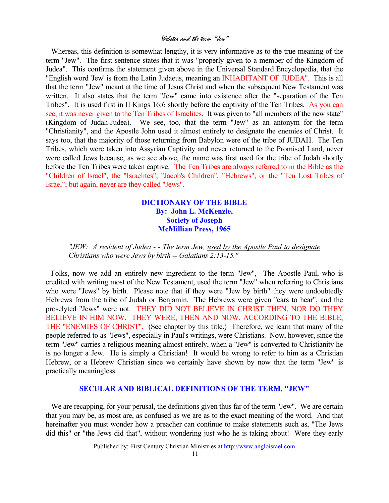Whereas, this definition is somewhat lengthy, it is very informative as to the true meaning of the term "Jew". The first sentence states that it was "properly given to a member of the Kingdom of Judea". This confirms the statement given above in the Universal Standard Encyclopedia, that the "English word 'Jew' is from the Latin Judaeus, meaning an INHABITANT OF JUDEA". This is all that the term "Jew" meant at the time of Jesus Christ and when the subsequent New Testament was written. It also states that the term "Jew" came into existence after the "separation of the Ten Tribes". It is used first in II Kings 16:6 shortly before the captivity of the Ten Tribes. As you can see, it was never given to the Ten Tribes of Israelites. It was given to "all members of the new state" (Kingdom of Judah-Judea). We see, too, that the term "Jew" as an antonym for the term "Christianity", and the Apostle John used it almost entirely to designate the enemies of Christ. It says too, that the majority of those returning from Babylon were of the tribe of JUDAH. The Ten Tribes, which were taken into Assyrian Captivity and never returned to the Promised Land, never were called Jews because, as we see above, the name was first used for the tribe of Judah shortly before the Ten Tribes were taken captive. The Ten Tribes are always referred to in the Bible as the "Children of Israel", the "Israelites", "Jacob's Children", "Hebrews", or the "Ten Lost Tribes of Israel"; but again, never are they called "Jews".

## **DICTIONARY OF THE BIBLE By: John L. McKenzie, Society of Joseph McMillian Press, 1965**

*"JEW: A resident of Judea - - The term Jew, used by the Apostle Paul to designate Christians who were Jews by birth -- Galatians 2:13-15."*

Folks, now we add an entirely new ingredient to the term "Jew", The Apostle Paul, who is credited with writing most of the New Testament, used the term "Jew" when referring to Christians who were "Jews" by birth. Please note that if they were "Jew by birth" they were undoubtedly Hebrews from the tribe of Judah or Benjamin. The Hebrews were given "ears to hear", and the proselyted "Jews" were not. THEY DID NOT BELIEVE IN CHRIST THEN, NOR DO THEY BELIEVE IN HIM NOW. THEY WERE, THEN AND NOW, ACCORDING TO THE BIBLE, THE "ENEMIES OF CHRIST". (See chapter by this title.) Therefore, we learn that many of the people referred to as "Jews", especially in Paul's writings, were Christians. Now, however, since the term "Jew" carries a religious meaning almost entirely, when a "Jew" is converted to Christianity he is no longer a Jew. He is simply a Christian! It would be wrong to refer to him as a Christian Hebrew, or a Hebrew Christian since we certainly have shown by now that the term "Jew" is practically meaningless.

#### **SECULAR AND BIBLICAL DEFINITIONS OF THE TERM, "JEW"**

We are recapping, for your perusal, the definitions given thus far of the term "Jew". We are certain that you may be, as most are, as confused as we are as to the exact meaning of the word. And that hereinafter you must wonder how a preacher can continue to make statements such as, "The Jews did this" or "the Jews did that", without wondering just who he is taking about! Were they early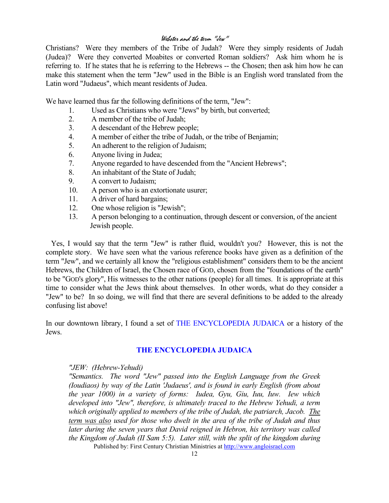Christians? Were they members of the Tribe of Judah? Were they simply residents of Judah (Judea)? Were they converted Moabites or converted Roman soldiers? Ask him whom he is referring to. If he states that he is referring to the Hebrews -- the Chosen; then ask him how he can make this statement when the term "Jew" used in the Bible is an English word translated from the Latin word "Judaeus", which meant residents of Judea.

We have learned thus far the following definitions of the term, "Jew":

- 1. Used as Christians who were "Jews" by birth, but converted;
- 2. A member of the tribe of Judah;
- 3. A descendant of the Hebrew people;
- 4. A member of either the tribe of Judah, or the tribe of Benjamin;
- 5. An adherent to the religion of Judaism;
- 6. Anyone living in Judea;
- 7. Anyone regarded to have descended from the "Ancient Hebrews";
- 8. An inhabitant of the State of Judah;
- 9. A convert to Judaism;
- 10. A person who is an extortionate usurer;
- 11. A driver of hard bargains;
- 12. One whose religion is "Jewish";
- 13. A person belonging to a continuation, through descent or conversion, of the ancient Jewish people.

Yes, I would say that the term "Jew" is rather fluid, wouldn't you? However, this is not the complete story. We have seen what the various reference books have given as a definition of the term "Jew", and we certainly all know the "religious establishment" considers them to be the ancient Hebrews, the Children of Israel, the Chosen race of GOD, chosen from the "foundations of the earth" to be "GOD's glory", His witnesses to the other nations (people) for all times. It is appropriate at this time to consider what the Jews think about themselves. In other words, what do they consider a "Jew" to be? In so doing, we will find that there are several definitions to be added to the already confusing list above!

In our downtown library, I found a set of THE ENCYCLOPEDIA JUDAICA or a history of the Jews.

#### **THE ENCYCLOPEDIA JUDAICA**

#### *"JEW: (Hebrew-Yehudi)*

Published by: First Century Christian Ministries at http://www.angloisrael.com *"Semantics. The word "Jew" passed into the English Language from the Greek (Ioudiaos) by way of the Latin 'Judaeus', and is found in early English (from about the year 1000) in a variety of forms: Iudea, Gyu, Giu, Iuu, Iuw. Iew which developed into "Jew", therefore, is ultimately traced to the Hebrew Yehudi, a term which originally applied to members of the tribe of Judah, the patriarch, Jacob. The term was also used for those who dwelt in the area of the tribe of Judah and thus later during the seven years that David reigned in Hebron, his territory was called the Kingdom of Judah (II Sam 5:5). Later still, with the split of the kingdom during*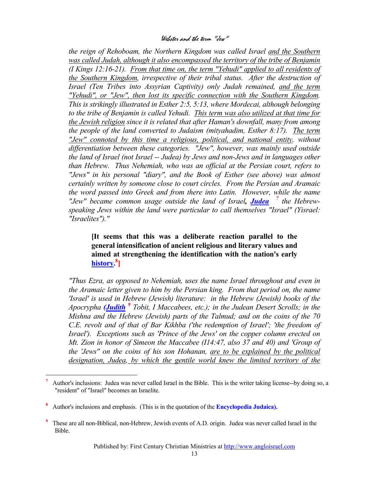*the reign of Rehoboam, the Northern Kingdom was called Israel and the Southern was called Judah, although it also encompassed the territory of the tribe of Benjamin (I Kings 12:16-21). From that time on, the term "Yehudi" applied to all residents of the Southern Kingdom, irrespective of their tribal status. After the destruction of Israel (Ten Tribes into Assyrian Captivity) only Judah remained, and the term "Yehudi", or "Jew", then lost its specific connection with the Southern Kingdom. This is strikingly illustrated in Esther 2:5, 5:13, where Mordecai, although belonging to the tribe of Benjamin is called Yehudi. This term was also utilized at that time for the Jewish religion since it is related that after Haman's downfall, many from among the people of the land converted to Judaism (mityahadim, Esther 8:17). The term "Jew" connoted by this time a religious, political, and national entity, without differentiation between these categories. "Jew", however, was mainly used outside the land of Israel (not Israel -- Judea) by Jews and non-Jews and in languages other than Hebrew. Thus Nehemiah, who was an official at the Persian court, refers to "Jews" in his personal "diary", and the Book of Esther (see above) was almost certainly written by someone close to court circles. From the Persian and Aramaic the word passed into Greek and from there into Latin. However, while the name "Jew" became common usage outside the land of Israel, Judea [7](#page-12-0) the Hebrewspeaking Jews within the land were particular to call themselves "Israel" (Yisrael: "Israelites")."*

**[It seems that this was a deliberate reaction parallel to the general intensification of ancient religious and literary values and aimed at strengthening the identification with the nation's early history. [8](#page-12-1) ]**

*"Thus Ezra, as opposed to Nehemiah, uses the name Israel throughout and even in the Aramaic letter given to him by the Persian king. From that period on, the name 'Israel' is used in Hebrew (Jewish) literature: in the Hebrew (Jewish) books of the Apocrypha (Judith [9](#page-12-2) Tobit, I Maccabees, etc.); in the Judean Desert Scrolls; in the Mishna and the Hebrew (Jewish) parts of the Talmud; and on the coins of the 70 C.E. revolt and of that of Bar Kikhba ('the redemption of Israel'; 'the freedom of Israel'). Exceptions such as 'Prince of the Jews' on the copper column erected on Mt. Zion in honor of Simeon the Maccabee (I14:47, also 37 and 40) and 'Group of the 'Jews'' on the coins of his son Hohanan, are to be explained by the political*  designation, Judea, by which the gentile world knew the limited territory of the

i

<span id="page-12-0"></span>**<sup>7</sup>** Author's inclusions: Judea was never called Israel in the Bible. This is the writer taking license--by doing so, a "resident" of "Israel" becomes an Israelite.

<span id="page-12-1"></span>**<sup>8</sup>** Author's inclusions and emphasis. (This is in the quotation of the **Encyclopedia Judaica).**

<span id="page-12-2"></span>**<sup>9</sup>** These are all non-Biblical, non-Hebrew, Jewish events of A.D. origin. Judea was never called Israel in the Bible.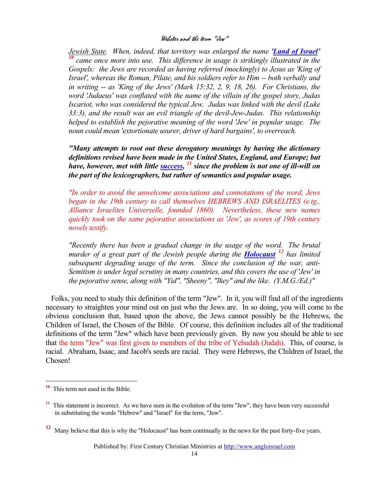*Jewish State. When, indeed, that territory was enlarged the name <i>'Land of Israel'*<br><sup>*[10](#page-13-0)*</sup> came once more into use. This difference in usage is strikingly illustrated in the *Gospels: the Jews are recorded as having referred (mockingly) to Jesus as 'King of Israel', whereas the Roman, Pilate, and his soldiers refer to Him -- both verbally and*  in writing -- as 'King of the Jews' (Mark 15:32, 2, 9, 18, 26). For Christians, the *word 'Judaeus' was conflated with the name of the villain of the gospel story, Judas Iscariot, who was considered the typical Jew. Judas was linked with the devil (Luke 33:3), and the result was an evil triangle of the devil-Jew-Judas. This relationship helped to establish the pejorative meaning of the word 'Jew' in popular usage. The noun could mean 'extortionate usurer, driver of hard bargains', to overreach.* 

*"Many attempts to root out these derogatory meanings by having the dictionary definitions revised have been made in the United States, England, and Europe; but have, however, met with little success, [11](#page-13-1) since the problem is not one of ill-will on the part of the lexicographers, but rather of semantics and popular usage.*

*"In order to avoid the unwelcome associations and connotations of the word, Jews began in the 19th century to call themselves HEBREWS AND ISRAELITES (e.tg., Alliance Israelites Universelle, founded 1860). Nevertheless, these new names quickly took on the same pejorative associations as 'Jew', as scores of 19th century novels testify.* 

*"Recently there has been a gradual change in the usage of the word. The brutal murder of a great part of the Jewish people during the Holocaust [12](#page-13-2) has limited subsequent degrading usage of the term. Since the conclusion of the war, anti-Semitism is under legal scrutiny in many countries, and this covers the use of 'Jew' in the pejorative sense, along with "Yid", "Sheeny", "Ikey" and the like. (Y.M.G./Ed.)"*

Folks, you need to study this definition of the term "Jew". In it, you will find all of the ingredients necessary to straighten your mind out on just who the Jews are. In so doing, you will come to the obvious conclusion that, based upon the above, the Jews cannot possibly be the Hebrews, the Children of Israel, the Chosen of the Bible. Of course, this definition includes all of the traditional definitions of the term "Jew" which have been previously given. By now you should be able to see that the term "Jew" was first given to members of the tribe of Yehudah (Judah). This, of course, is racial. Abraham, Isaac, and Jacob's seeds are racial. They were Hebrews, the Children of Israel, the Chosen!

 $\overline{\phantom{0}}$ 

<span id="page-13-0"></span>**<sup>10</sup>** This term not used in the Bible.

<span id="page-13-1"></span>**<sup>11</sup>** This statement is incorrect. As we have seen in the evolution of the term "Jew", they have been very successful in substituting the words "Hebrew" and "Israel" for the term, "Jew".

<span id="page-13-2"></span>**<sup>12</sup>** Many believe that this is why the "Holocaust" has been continually in the news for the past forty-five years.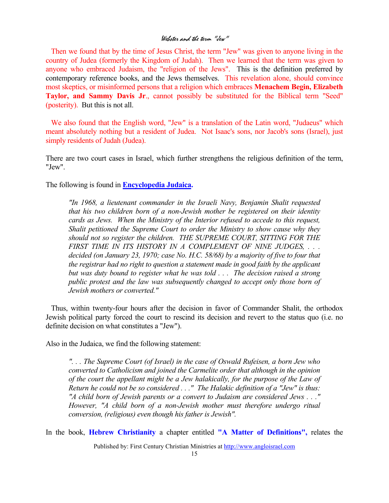Then we found that by the time of Jesus Christ, the term "Jew" was given to anyone living in the country of Judea (formerly the Kingdom of Judah). Then we learned that the term was given to anyone who embraced Judaism, the "religion of the Jews". This is the definition preferred by contemporary reference books, and the Jews themselves. This revelation alone, should convince most skeptics, or misinformed persons that a religion which embraces **Menachem Begin, Elizabeth Taylor, and Sammy Davis Jr**., cannot possibly be substituted for the Biblical term "Seed" (posterity). But this is not all.

We also found that the English word, "Jew" is a translation of the Latin word, "Judaeus" which meant absolutely nothing but a resident of Judea. Not Isaac's sons, nor Jacob's sons (Israel), just simply residents of Judah (Judea).

There are two court cases in Israel, which further strengthens the religious definition of the term, "Jew".

The following is found in **Encyclopedia Judaica.**

*"In 1968, a lieutenant commander in the Israeli Navy, Benjamin Shalit requested that his two children born of a non-Jewish mother be registered on their identity cards as Jews. When the Ministry of the Interior refused to accede to this request, Shalit petitioned the Supreme Court to order the Ministry to show cause why they should not so register the children. THE SUPREME COURT, SITTING FOR THE FIRST TIME IN ITS HISTORY IN A COMPLEMENT OF NINE JUDGES, . . . decided (on January 23, 1970; case No. H.C. 58/68) by a majority of five to four that the registrar had no right to question a statement made in good faith by the applicant but was duty bound to register what he was told . . . The decision raised a strong public protest and the law was subsequently changed to accept only those born of Jewish mothers or converted."*

Thus, within twenty-four hours after the decision in favor of Commander Shalit, the orthodox Jewish political party forced the court to rescind its decision and revert to the status quo (i.e. no definite decision on what constitutes a "Jew").

Also in the Judaica, we find the following statement:

*". . . The Supreme Court (of Israel) in the case of Oswald Rufeisen, a born Jew who converted to Catholicism and joined the Carmelite order that although in the opinion of the court the appellant might be a Jew halakically, for the purpose of the Law of Return he could not be so considered . . ." The Halakic definition of a "Jew" is thus: "A child born of Jewish parents or a convert to Judaism are considered Jews . . ." However, "A child born of a non-Jewish mother must therefore undergo ritual conversion, (religious) even though his father is Jewish".*

In the book, **Hebrew Christianity** a chapter entitled **"A Matter of Definitions",** relates the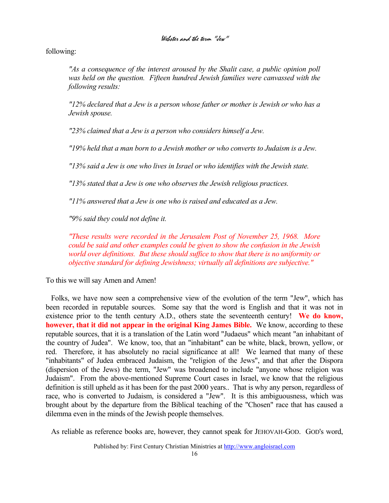following:

*As a consequence of the interest aroused by the Shalit case, a public opinion poll was held on the question. Fifteen hundred Jewish families were canvassed with the following results:* 

*"12% declared that a Jew is a person whose father or mother is Jewish or who has a Jewish spouse.* 

*"23% claimed that a Jew is a person who considers himself a Jew.* 

*"19% held that a man born to a Jewish mother or who converts to Judaism is a Jew.* 

*"13% said a Jew is one who lives in Israel or who identifies with the Jewish state.* 

*"13% stated that a Jew is one who observes the Jewish religious practices.* 

*"11% answered that a Jew is one who is raised and educated as a Jew.* 

*"9% said they could not define it.* 

*"These results were recorded in the Jerusalem Post of November 25, 1968. More could be said and other examples could be given to show the confusion in the Jewish world over definitions. But these should suffice to show that there is no uniformity or objective standard for defining Jewishness; virtually all definitions are subjective."*

To this we will say Amen and Amen!

Folks, we have now seen a comprehensive view of the evolution of the term "Jew", which has been recorded in reputable sources. Some say that the word is English and that it was not in existence prior to the tenth century A.D., others state the seventeenth century! We do know, **however, that it did not appear in the original King James Bible.** We know, according to these reputable sources, that it is a translation of the Latin word "Judaeus" which meant "an inhabitant of the country of Judea". We know, too, that an "inhabitant" can be white, black, brown, yellow, or red. Therefore, it has absolutely no racial significance at all! We learned that many of these "inhabitants" of Judea embraced Judaism, the "religion of the Jews", and that after the Dispora (dispersion of the Jews) the term, "Jew" was broadened to include "anyone whose religion was Judaism". From the above-mentioned Supreme Court cases in Israel, we know that the religious definition is still upheld as it has been for the past 2000 years.. That is why any person, regardless of race, who is converted to Judaism, is considered a "Jew". It is this ambiguousness, which was brought about by the departure from the Biblical teaching of the "Chosen" race that has caused a dilemma even in the minds of the Jewish people themselves.

As reliable as reference books are, however, they cannot speak for JEHOVAH-GOD. GOD's word,